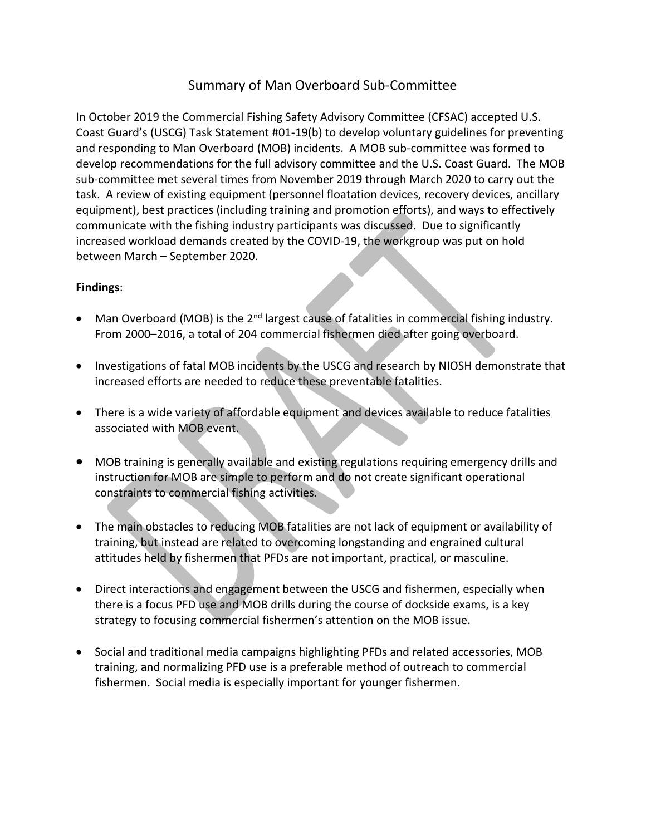## Summary of Man Overboard Sub-Committee

In October 2019 the Commercial Fishing Safety Advisory Committee (CFSAC) accepted U.S. Coast Guard's (USCG) Task Statement #01-19(b) to develop voluntary guidelines for preventing and responding to Man Overboard (MOB) incidents. A MOB sub-committee was formed to develop recommendations for the full advisory committee and the U.S. Coast Guard. The MOB sub-committee met several times from November 2019 through March 2020 to carry out the task. A review of existing equipment (personnel floatation devices, recovery devices, ancillary equipment), best practices (including training and promotion efforts), and ways to effectively communicate with the fishing industry participants was discussed. Due to significantly increased workload demands created by the COVID-19, the workgroup was put on hold between March – September 2020.

## **Findings**:

- Man Overboard (MOB) is the 2<sup>nd</sup> largest cause of fatalities in commercial fishing industry. From 2000–2016, a total of 204 commercial fishermen died after going overboard.
- Investigations of fatal MOB incidents by the USCG and research by NIOSH demonstrate that increased efforts are needed to reduce these preventable fatalities.
- There is a wide variety of affordable equipment and devices available to reduce fatalities associated with MOB event.
- MOB training is generally available and existing regulations requiring emergency drills and instruction for MOB are simple to perform and do not create significant operational constraints to commercial fishing activities.
- The main obstacles to reducing MOB fatalities are not lack of equipment or availability of training, but instead are related to overcoming longstanding and engrained cultural attitudes held by fishermen that PFDs are not important, practical, or masculine.
- Direct interactions and engagement between the USCG and fishermen, especially when there is a focus PFD use and MOB drills during the course of dockside exams, is a key strategy to focusing commercial fishermen's attention on the MOB issue.
- Social and traditional media campaigns highlighting PFDs and related accessories, MOB training, and normalizing PFD use is a preferable method of outreach to commercial fishermen. Social media is especially important for younger fishermen.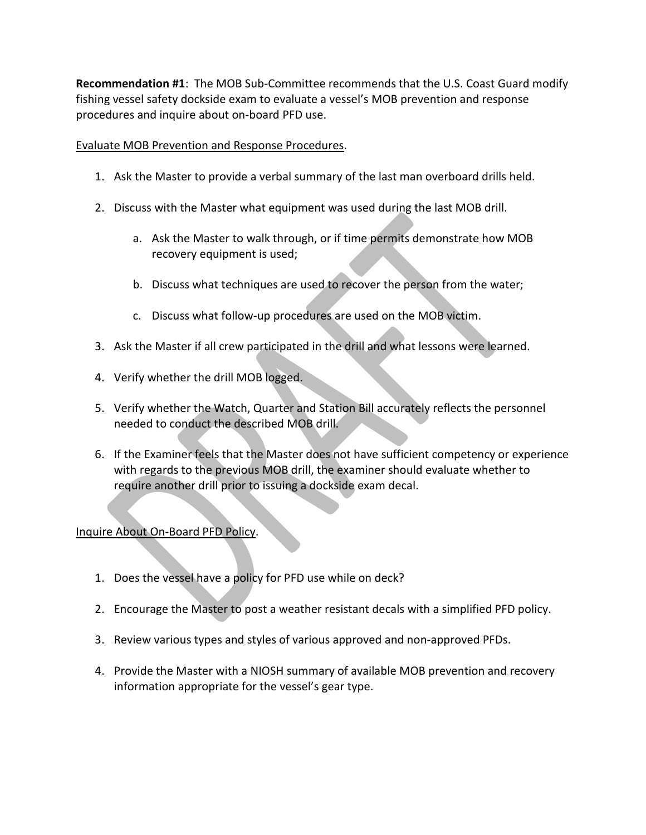**Recommendation #1**: The MOB Sub-Committee recommends that the U.S. Coast Guard modify fishing vessel safety dockside exam to evaluate a vessel's MOB prevention and response procedures and inquire about on-board PFD use.

## Evaluate MOB Prevention and Response Procedures.

- 1. Ask the Master to provide a verbal summary of the last man overboard drills held.
- 2. Discuss with the Master what equipment was used during the last MOB drill.
	- a. Ask the Master to walk through, or if time permits demonstrate how MOB recovery equipment is used;
	- b. Discuss what techniques are used to recover the person from the water;
	- c. Discuss what follow-up procedures are used on the MOB victim.
- 3. Ask the Master if all crew participated in the drill and what lessons were learned.
- 4. Verify whether the drill MOB logged.
- 5. Verify whether the Watch, Quarter and Station Bill accurately reflects the personnel needed to conduct the described MOB drill.
- 6. If the Examiner feels that the Master does not have sufficient competency or experience with regards to the previous MOB drill, the examiner should evaluate whether to require another drill prior to issuing a dockside exam decal.

## Inquire About On-Board PFD Policy.

- 1. Does the vessel have a policy for PFD use while on deck?
- 2. Encourage the Master to post a weather resistant decals with a simplified PFD policy.
- 3. Review various types and styles of various approved and non-approved PFDs.
- 4. Provide the Master with a NIOSH summary of available MOB prevention and recovery information appropriate for the vessel's gear type.